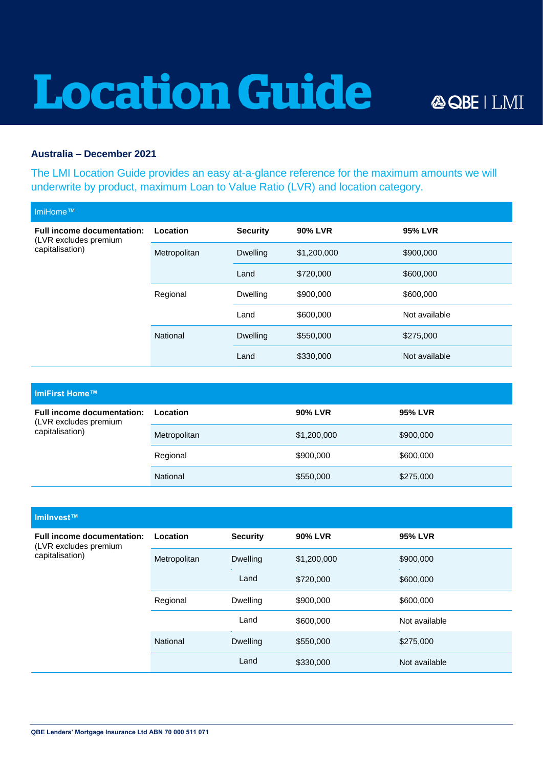## **Location Guide**

## **Australia – December 2021**

The LMI Location Guide provides an easy at-a-glance reference for the maximum amounts we will underwrite by product, maximum Loan to Value Ratio (LVR) and location category.

| MiHome™                                                                       |              |                 |             |               |
|-------------------------------------------------------------------------------|--------------|-----------------|-------------|---------------|
| <b>Full income documentation:</b><br>(LVR excludes premium<br>capitalisation) | Location     | <b>Security</b> | 90% LVR     | 95% LVR       |
|                                                                               | Metropolitan | <b>Dwelling</b> | \$1,200,000 | \$900,000     |
|                                                                               |              | Land            | \$720,000   | \$600,000     |
|                                                                               | Regional     | <b>Dwelling</b> | \$900,000   | \$600,000     |
|                                                                               |              | Land            | \$600,000   | Not available |
|                                                                               | National     | <b>Dwelling</b> | \$550,000   | \$275,000     |
|                                                                               |              | Land            | \$330,000   | Not available |

| ImiFirst Home™                                                                |              |                |                |  |  |
|-------------------------------------------------------------------------------|--------------|----------------|----------------|--|--|
| <b>Full income documentation:</b><br>(LVR excludes premium<br>capitalisation) | Location     | <b>90% LVR</b> | <b>95% LVR</b> |  |  |
|                                                                               | Metropolitan | \$1,200,000    | \$900,000      |  |  |
|                                                                               | Regional     | \$900,000      | \$600,000      |  |  |
|                                                                               | National     | \$550,000      | \$275,000      |  |  |

| Imilnvest™                                                                    |              |                 |             |                |
|-------------------------------------------------------------------------------|--------------|-----------------|-------------|----------------|
| <b>Full income documentation:</b><br>(LVR excludes premium<br>capitalisation) | Location     | <b>Security</b> | 90% LVR     | <b>95% LVR</b> |
|                                                                               | Metropolitan | <b>Dwelling</b> | \$1,200,000 | \$900,000      |
|                                                                               |              | Land            | \$720,000   | \$600,000      |
|                                                                               | Regional     | <b>Dwelling</b> | \$900,000   | \$600,000      |
|                                                                               |              | Land            | \$600,000   | Not available  |
|                                                                               | National     | <b>Dwelling</b> | \$550,000   | \$275,000      |
|                                                                               |              | Land            | \$330,000   | Not available  |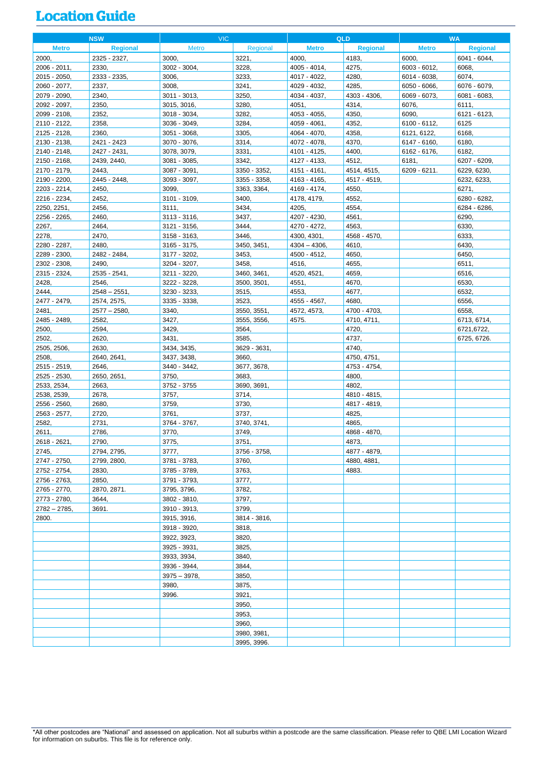## **Location Guide**

|                       | <b>NSW</b>           | <b>VIC</b>                  |                      | <b>QLD</b>      |                             | <b>WA</b>      |                 |
|-----------------------|----------------------|-----------------------------|----------------------|-----------------|-----------------------------|----------------|-----------------|
| <b>Metro</b>          | <b>Regional</b>      | <b>Metro</b>                | Regional             | <b>Metro</b>    | <b>Regional</b>             | <b>Metro</b>   | <b>Regional</b> |
| 2000,                 | 2325 - 2327,         | 3000,                       | 3221,                | 4000,           | 4183,                       | 6000,          | 6041 - 6044,    |
| 2006 - 2011,          | 2330,                | 3002 - 3004,                | 3228.                | 4005 - 4014,    | 4275,                       | 6003 - 6012,   | 6068,           |
| 2015 - 2050,          | 2333 - 2335,         | 3006,                       | 3233,                | 4017 - 4022,    | 4280,                       | 6014 - 6038,   | 6074,           |
| 2060 - 2077.          | 2337,                | 3008,                       | 3241,                | 4029 - 4032,    | 4285,                       | 6050 - 6066,   | 6076 - 6079,    |
| 2079 - 2090,          | 2340,                | 3011 - 3013,                | 3250,                | 4034 - 4037,    | 4303 - 4306,                | 6069 - 6073,   | 6081 - 6083,    |
| 2092 - 2097,          | 2350,                | 3015, 3016,                 | 3280,                | 4051,           | 4314,                       | 6076,          | 6111,           |
| 2099 - 2108,          | 2352,                | 3018 - 3034,                | 3282,                | 4053 - 4055,    | 4350,                       | 6090,          | 6121 - 6123,    |
| 2110 - 2122,          | 2358,                | 3036 - 3049,                | 3284,                | 4059 - 4061,    | 4352,                       | $6100 - 6112,$ | 6125            |
| 2125 - 2128,          | 2360,                | 3051 - 3068,                | 3305,                | 4064 - 4070,    | 4358,                       | 6121, 6122,    | 6168,           |
| 2130 - 2138.          | 2421 - 2423          | 3070 - 3076.                | 3314,                | 4072 - 4078.    | 4370,                       | 6147 - 6160,   | 6180,           |
| 2140 - 2148,          | 2427 - 2431,         | 3078, 3079,                 | 3331,                | 4101 - 4125,    | 4400,                       | 6162 - 6176,   | 6182,           |
| 2150 - 2168,          | 2439, 2440,          | 3081 - 3085.                | 3342,                | 4127 - 4133,    | 4512,                       | 6181,          | 6207 - 6209.    |
| 2170 - 2179,          | 2443,                | 3087 - 3091,                | 3350 - 3352,         | 4151 - 4161,    | 4514, 4515,                 | 6209 - 6211.   | 6229, 6230,     |
| 2190 - 2200,          | 2445 - 2448,         | 3093 - 3097,                | 3355 - 3358,         | 4163 - 4165,    | 4517 - 4519,                |                | 6232, 6233,     |
| 2203 - 2214,          | 2450,                | 3099,                       | 3363, 3364,          | 4169 - 4174,    | 4550,                       |                | 6271,           |
| 2216 - 2234,          | 2452,                | 3101 - 3109,                | 3400,                | 4178, 4179,     | 4552,                       |                | 6280 - 6282,    |
| 2250, 2251,           | 2456,                | 3111,                       | 3434,                | 4205,           | 4554,                       |                | 6284 - 6286,    |
| 2256 - 2265,          | 2460,                | $3113 - 3116$ ,             | 3437,                | 4207 - 4230,    | 4561,                       |                | 6290,           |
| 2267,                 | 2464,                | 3121 - 3156,                | 3444,                | 4270 - 4272,    | 4563,                       |                | 6330,           |
| 2278,                 | 2470,                | 3158 - 3163,                | 3446,                | 4300, 4301,     | 4568 - 4570,                |                | 6333,           |
| 2280 - 2287,          | 2480,                | 3165 - 3175,                | 3450, 3451,          | $4304 - 4306$ , | 4610,                       |                | 6430,           |
| 2289 - 2300,          | 2482 - 2484,         | 3177 - 3202,                | 3453,                | 4500 - 4512,    | 4650,                       |                | 6450,           |
| 2302 - 2308,          | 2490,                | 3204 - 3207,                | 3458,                | 4516,           | 4655,                       |                | 6511,           |
| 2315 - 2324,          | 2535 - 2541,         | 3211 - 3220,                | 3460, 3461,          | 4520, 4521,     | 4659,                       |                | 6516.           |
| 2428,                 | 2546,                | 3222 - 3228,                | 3500, 3501,          | 4551,           | 4670,                       |                | 6530,           |
| 2444,                 | $2548 - 2551$        | 3230 - 3233,                | 3515,                | 4553,           | 4677,                       |                | 6532,           |
| 2477 - 2479,          | 2574, 2575,          | 3335 - 3338,                | 3523,                | 4555 - 4567,    | 4680,                       |                | 6556,           |
| 2481,                 | $2577 - 2580$        | 3340,                       | 3550, 3551,          | 4572, 4573,     | 4700 - 4703,                |                | 6558,           |
| 2485 - 2489.          | 2582,                | 3427,                       | 3555, 3556,          | 4575.           | 4710, 4711,                 |                | 6713, 6714,     |
| 2500,                 | 2594,                | 3429,                       | 3564,                |                 | 4720,                       |                | 6721,6722,      |
| 2502,                 | 2620,                | 3431,                       | 3585,                |                 | 4737,                       |                | 6725, 6726.     |
| 2505, 2506,           | 2630,                | 3434, 3435,                 | 3629 - 3631,         |                 | 4740,                       |                |                 |
| 2508,<br>2515 - 2519, | 2640, 2641,<br>2646, | 3437, 3438,<br>3440 - 3442, | 3660,<br>3677, 3678, |                 | 4750, 4751,<br>4753 - 4754, |                |                 |
| 2525 - 2530           | 2650, 2651,          | 3750,                       | 3683,                |                 | 4800,                       |                |                 |
| 2533, 2534,           | 2663,                | 3752 - 3755                 | 3690, 3691,          |                 | 4802,                       |                |                 |
| 2538, 2539,           | 2678,                | 3757,                       | 3714,                |                 | 4810 - 4815,                |                |                 |
| 2556 - 2560,          | 2680,                | 3759,                       | 3730,                |                 | 4817 - 4819,                |                |                 |
| 2563 - 2577,          | 2720,                | 3761,                       | 3737,                |                 | 4825,                       |                |                 |
| 2582,                 | 2731,                | 3764 - 3767,                | 3740, 3741,          |                 | 4865,                       |                |                 |
| 2611,                 | 2786.                | 3770,                       | 3749,                |                 | 4868 - 4870,                |                |                 |
| 2618 - 2621,          | 2790,                | 3775,                       | 3751,                |                 | 4873,                       |                |                 |
| 2745,                 | 2794, 2795,          | 3777,                       | 3756 - 3758,         |                 | 4877 - 4879,                |                |                 |
| 2747 - 2750           | 2799, 2800,          | 3781 - 3783,                | 3760,                |                 | 4880, 4881,                 |                |                 |
| 2752 - 2754,          | 2830,                | 3785 - 3789,                | 3763,                |                 | 4883.                       |                |                 |
| 2756 - 2763,          | 2850,                | 3791 - 3793,                | 3777,                |                 |                             |                |                 |
| 2765 - 2770,          | 2870, 2871.          | 3795, 3796,                 | 3782,                |                 |                             |                |                 |
| 2773 - 2780,          | 3644,                | 3802 - 3810,                | 3797,                |                 |                             |                |                 |
| $2782 - 2785$         | 3691.                | 3910 - 3913,                | 3799,                |                 |                             |                |                 |
| 2800.                 |                      | 3915, 3916,                 | 3814 - 3816,         |                 |                             |                |                 |
|                       |                      | 3918 - 3920,                | 3818,                |                 |                             |                |                 |
|                       |                      | 3922, 3923,                 | 3820,                |                 |                             |                |                 |
|                       |                      | 3925 - 3931,                | 3825,                |                 |                             |                |                 |
|                       |                      | 3933, 3934,                 | 3840,                |                 |                             |                |                 |
|                       |                      | 3936 - 3944,                | 3844,                |                 |                             |                |                 |
|                       |                      | $3975 - 3978$               | 3850,                |                 |                             |                |                 |
|                       |                      | 3980,                       | 3875,                |                 |                             |                |                 |
|                       |                      | 3996.                       | 3921,                |                 |                             |                |                 |
|                       |                      |                             | 3950,                |                 |                             |                |                 |
|                       |                      |                             | 3953,                |                 |                             |                |                 |
|                       |                      |                             | 3960,                |                 |                             |                |                 |
|                       |                      |                             | 3980, 3981,          |                 |                             |                |                 |
|                       |                      |                             | 3995, 3996.          |                 |                             |                |                 |